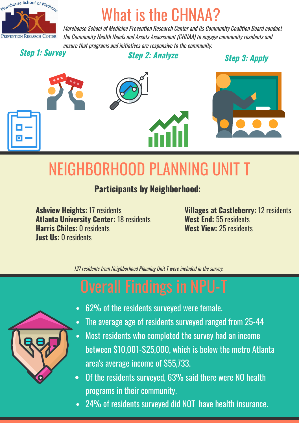

Morehouse School of Medicine Prevention Research Center and its Community Coalition Board conduct the Community Health Needs and Assets Assessment (CHNAA) to engage community residents and ensure that programs and initiatives are responsive to the community.

**Step 1: Survey** 

**Step 2: Analyze** 

**Step 3: Apply** 



# **NEIGHBORHOOD PLANNING UNIT T**

### **Participants by Neighborhood:**

**Ashview Heights: 17 residents Atlanta University Center: 18 residents Harris Chiles: 0 residents Lust IIs: A residents** 

**Villages at Castleberry: 12 residents** West End: 55 residents West View: 25 residents

127 residents from Neighborhood Planning Unit T were included in the survey.



- 62% of the residents surveyed were female.
- The average age of residents surveyed ranged from 25-44  $\bullet$
- Most residents who completed the survey had an income  $\bullet$ between \$10,001-\$25,000, which is below the metro Atlanta area's average income of \$55,733.
- Of the residents surveyed, 63% said there were NO health  $\bullet$ programs in their community.
- 24% of residents surveyed did NOT have health insurance.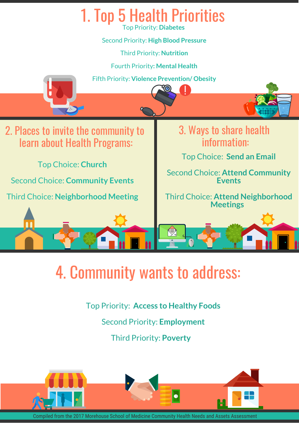

Top Priority: **Access to Healthy Foods**

Second Priority: **Employment**

Third Priority: **Poverty** 



Compiled from the 2017 Morehouse School of Medicine Community Health Needs and Assets Asses: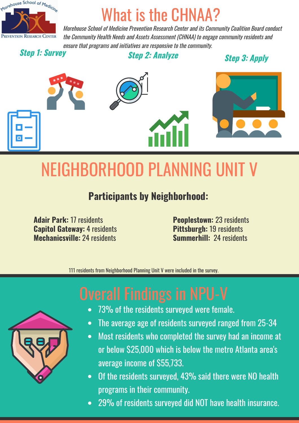

Morehouse School of Medicine Prevention Research Center and its Community Coalition Board conduct the Community Health Needs and Assets Assessment (CHNAA) to engage community residents and ensure that programs and initiatives are responsive to the community.

**Step 1: Survey** 

**Step 2: Analyze** 

**Step 3: Apply** 



# NEIGHBORHOOD PLANNING UNIT V

### **Participants by Neighborhood:**

**Adair Park: 17 residents Capitol Gateway: 4 residents** Mechanicsville: 24 residents

**Peoplestown: 23 residents Pittsburgh: 19 residents** Summerhill: 24 residents

111 residents from Neighborhood Planning Unit V were included in the survey.

- 73% of the residents surveyed were female.
- The average age of residents surveyed ranged from 25-34
- Most residents who completed the survey had an income at  $\bullet$ or below \$25,000 which is below the metro Atlanta area's average income of \$55,733.
- Of the residents surveyed, 43% said there were NO health programs in their community.
- 29% of residents surveyed did NOT have health insurance.  $\bullet$

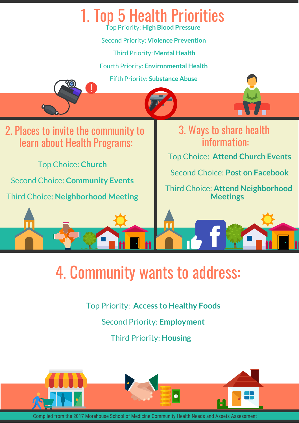

Top Priority: **Access to Healthy Foods**

Second Priority: **Employment**

Third Priority: **Housing** 



Compiled from the 2017 Morehouse School of Medicine Community Health Needs and Assets Asses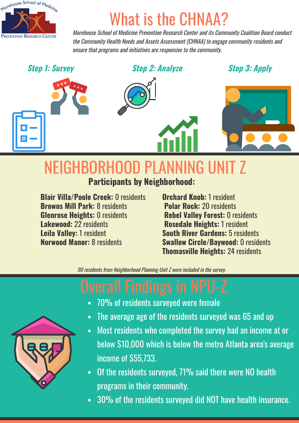

Morehouse School of Medicine Prevention Research Center and its Community Coalition Board conduct the Community Health Needs and Assets Assessment (CHNAA) to engage community residents and ensure that programs and initiatives are responsive to the community.

**Step 1: Survey** 

**Step 2: Analyze** 

**Step 3: Apply** 



# NEIGHBORHOOD PLANNING UNIT Z

**Participants by Neighborhood:** 

**Blair Villa/Poole Creek: 0 residents Browns Mill Park: 8 residents Glenrose Heights: 0 residents Lakewood: 22 residents Leila Vallev: 1 resident Norwood Manor: 8 residents** 

**Orchard Knob: 1 resident Polar Rock: 20 residents Rebel Valley Forest: 0 residents Rosedale Heights: 1 resident South River Gardens: 5 residents Swallow Circle/Baywood: 0 residents Thomasville Heights: 24 residents** 

90 residents from Neighborhood Planning Unit Z were included in the survey.

- 70% of residents surveyed were female
- The average age of the residents surveyed was 65 and up
- Most residents who completed the survey had an income at or  $\bullet$ below \$10,000 which is below the metro Atlanta area's average income of \$55.733.
- Of the residents surveyed, 71% said there were NO health programs in their community.
- 30% of the residents surveyed did NOT have health insurance.

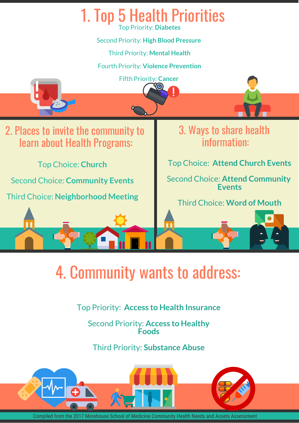

Top Priority: **Access to Health Insurance** 

Second Priority: **Access to Healthy Foods**

Third Priority: **Substance Abuse** 



Compiled from the 2017 Morehouse School of Medicine Community Health Needs and Assets Assessment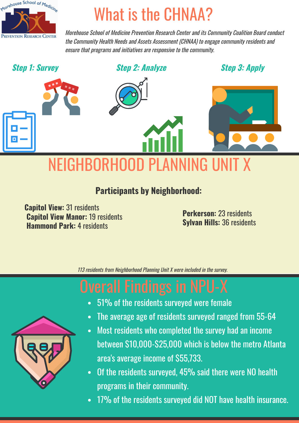

Morehouse School of Medicine Prevention Research Center and its Community Coalition Board conduct the Community Health Needs and Assets Assessment (CHNAA) to engage community residents and ensure that programs and initiatives are responsive to the community.

**Step 1: Survey** 

**Step 2: Analyze** 

**Step 3: Apply** 



### **Participants by Neighborhood:**

**Capitol View: 31 residents Capitol View Manor: 19 residents Hammond Park: 4 residents** 

**Perkerson: 23 residents Sylvan Hills: 36 residents** 

113 residents from Neighborhood Planning Unit X were included in the survey.

- 51% of the residents surveyed were female
- The average age of residents surveyed ranged from 55-64
- Most residents who completed the survey had an income  $\bullet$ between \$10,000-\$25,000 which is below the metro Atlanta area's average income of \$55,733.
- Of the residents surveyed, 45% said there were NO health programs in their community.
- 17% of the residents surveyed did NOT have health insurance.

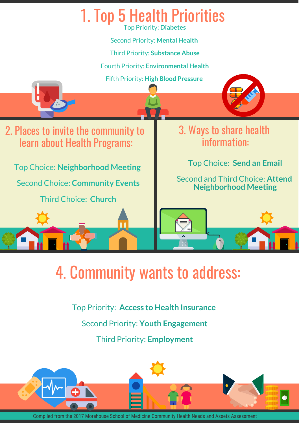

Top Priority: **Access to Health Insurance** 

Second Priority: **Youth Engagement**

Third Priority: **Employment**



Compiled from the 2017 Morehouse School of Medicine Community Health Needs and Assets Assessment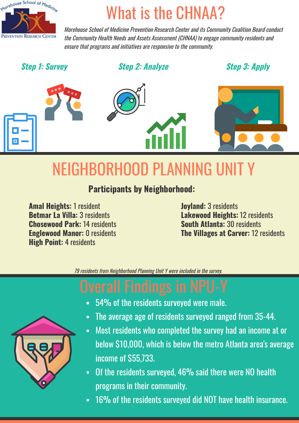

Morehouse School of Medicine Prevention Research Center and its Community Coalition Board conduct the Community Health Needs and Assets Assessment (CHNAA) to engage community residents and ensure that programs and initiatives are responsive to the community.

### **Step 1: Survey**

**Step 2: Analyze** 

**Step 3: Apply** 



## NEIGHBORHOOD PLANNING UNIT Y

### **Participants by Neighborhood:**

**Amal Heights: 1 resident Betmar La Villa: 3 residents** Chosewood Park: 14 residents **Englewood Manor: 0 residents High Point: 4 residents** 

**Joyland: 3 residents Lakewood Heights: 12 residents South Atlanta: 30 residents** The Villages at Carver: 12 residents

79 residents from Neighborhood Planning Unit Y were included in the survey.

- 54% of the residents surveyed were male.
- The average age of residents surveyed ranged from 35-44.
- Most residents who completed the survey had an income at or  $\bullet$ below \$10,000, which is below the metro Atlanta area's average income of \$55.733.
- Of the residents surveyed, 46% said there were NO health  $\bullet$ programs in their community.
- 16% of the residents surveyed did NOT have health insurance.